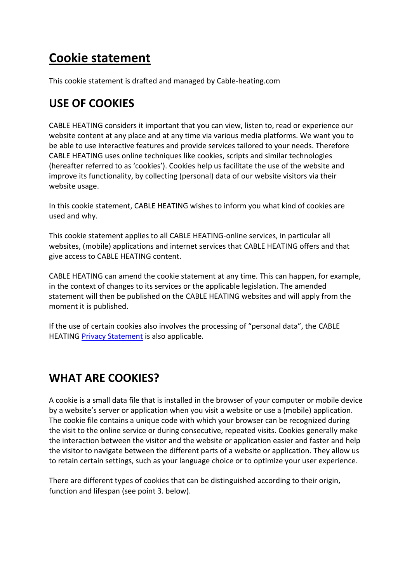# **Cookie statement**

This cookie statement is drafted and managed by Cable-heating.com

# **USE OF COOKIES**

CABLE HEATING considers it important that you can view, listen to, read or experience our website content at any place and at any time via various media platforms. We want you to be able to use interactive features and provide services tailored to your needs. Therefore CABLE HEATING uses online techniques like cookies, scripts and similar technologies (hereafter referred to as 'cookies'). Cookies help us facilitate the use of the website and improve its functionality, by collecting (personal) data of our website visitors via their website usage.

In this cookie statement, CABLE HEATING wishes to inform you what kind of cookies are used and why.

This cookie statement applies to all CABLE HEATING-online services, in particular all websites, (mobile) applications and internet services that CABLE HEATING offers and that give access to CABLE HEATING content.

CABLE HEATING can amend the cookie statement at any time. This can happen, for example, in the context of changes to its services or the applicable legislation. The amended statement will then be published on the CABLE HEATING websites and will apply from the moment it is published.

If the use of certain cookies also involves the processing of "personal data", the CABLE HEATING [Privacy Statement](https://www.cable-heating.com/gdpr/privacy-statement.pdf) is also applicable.

# **WHAT ARE COOKIES?**

A cookie is a small data file that is installed in the browser of your computer or mobile device by a website's server or application when you visit a website or use a (mobile) application. The cookie file contains a unique code with which your browser can be recognized during the visit to the online service or during consecutive, repeated visits. Cookies generally make the interaction between the visitor and the website or application easier and faster and help the visitor to navigate between the different parts of a website or application. They allow us to retain certain settings, such as your language choice or to optimize your user experience.

There are different types of cookies that can be distinguished according to their origin, function and lifespan (see point 3. below).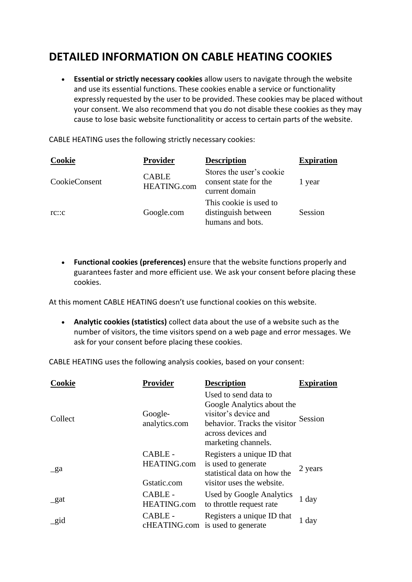### **DETAILED INFORMATION ON CABLE HEATING COOKIES**

• **Essential or strictly necessary cookies** allow users to navigate through the website and use its essential functions. These cookies enable a service or functionality expressly requested by the user to be provided. These cookies may be placed without your consent. We also recommend that you do not disable these cookies as they may cause to lose basic website functionalitity or access to certain parts of the website.

CABLE HEATING uses the following strictly necessary cookies:

| Cookie        | <b>Provider</b>             | <b>Description</b>                                                  | <b>Expiration</b> |
|---------------|-----------------------------|---------------------------------------------------------------------|-------------------|
| CookieConsent | <b>CABLE</b><br>HEATING.com | Stores the user's cookie<br>consent state for the<br>current domain | 1 year            |
| rc::c         | Google.com                  | This cookie is used to<br>distinguish between<br>humans and bots.   | Session           |

• **Functional cookies (preferences)** ensure that the website functions properly and guarantees faster and more efficient use. We ask your consent before placing these cookies.

At this moment CABLE HEATING doesn't use functional cookies on this website.

• **Analytic cookies (statistics)** collect data about the use of a website such as the number of visitors, the time visitors spend on a web page and error messages. We ask for your consent before placing these cookies.

CABLE HEATING uses the following analysis cookies, based on your consent:

| Cookie          | <b>Provider</b>                       | <b>Description</b>                                                                                                                                      | <b>Expiration</b> |
|-----------------|---------------------------------------|---------------------------------------------------------------------------------------------------------------------------------------------------------|-------------------|
| Collect         | Google-<br>analytics.com              | Used to send data to<br>Google Analytics about the<br>visitor's device and<br>behavior. Tracks the visitor<br>across devices and<br>marketing channels. | Session           |
| $\mathbf{g}$ a  | CABLE -<br>HEATING.com<br>Gstatic.com | Registers a unique ID that<br>is used to generate<br>statistical data on how the<br>visitor uses the website.                                           | 2 years           |
| $_{\text{gat}}$ | CABLE -<br>HEATING.com                | <b>Used by Google Analytics</b><br>to throttle request rate                                                                                             | 1 day             |
| _gid            | CABLE -                               | Registers a unique ID that<br>cHEATING.com is used to generate                                                                                          | 1 day             |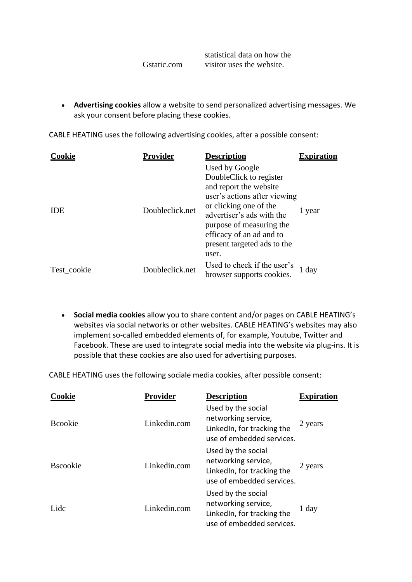Gstatic.com statistical data on how the visitor uses the website.

• **Advertising cookies** allow a website to send personalized advertising messages. We ask your consent before placing these cookies.

CABLE HEATING uses the following advertising cookies, after a possible consent:

| Cookie      | Provider        | <b>Description</b>                                                                                                                                                                                                                                         | <b>Expiration</b> |
|-------------|-----------------|------------------------------------------------------------------------------------------------------------------------------------------------------------------------------------------------------------------------------------------------------------|-------------------|
| <b>IDE</b>  | Doubleclick.net | Used by Google<br>DoubleClick to register<br>and report the website<br>user's actions after viewing<br>or clicking one of the<br>advertiser's ads with the<br>purpose of measuring the<br>efficacy of an ad and to<br>present targeted ads to the<br>user. | 1 year            |
| Test cookie | Doubleclick.net | Used to check if the user's<br>browser supports cookies.                                                                                                                                                                                                   | 1 day             |

• **Social media cookies** allow you to share content and/or pages on CABLE HEATING's websites via social networks or other websites. CABLE HEATING's websites may also implement so-called embedded elements of, for example, Youtube, Twitter and Facebook. These are used to integrate social media into the website via plug-ins. It is possible that these cookies are also used for advertising purposes.

CABLE HEATING uses the following sociale media cookies, after possible consent:

| Cookie           | <b>Provider</b> | <b>Description</b>                                                                                   | <b>Expiration</b> |
|------------------|-----------------|------------------------------------------------------------------------------------------------------|-------------------|
| <b>B</b> cookie  | Linkedin.com    | Used by the social<br>networking service,<br>LinkedIn, for tracking the<br>use of embedded services. | 2 years           |
| <b>B</b> scookie | Linkedin.com    | Used by the social<br>networking service,<br>LinkedIn, for tracking the<br>use of embedded services. | 2 years           |
| Lidc             | Linkedin.com    | Used by the social<br>networking service,<br>LinkedIn, for tracking the<br>use of embedded services. | 1 day             |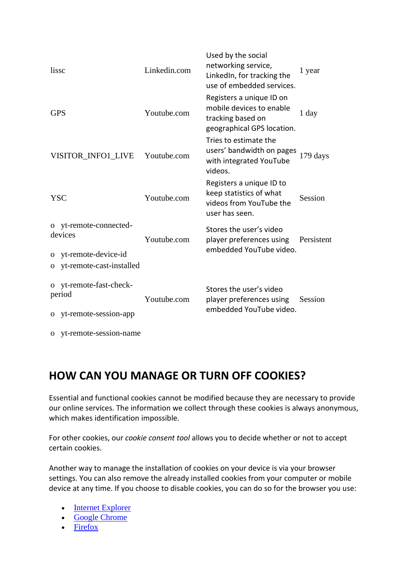| lissc      |                                                            | Linkedin.com | Used by the social<br>networking service,<br>LinkedIn, for tracking the<br>use of embedded services.    | 1 year     |
|------------|------------------------------------------------------------|--------------|---------------------------------------------------------------------------------------------------------|------------|
| <b>GPS</b> |                                                            | Youtube.com  | Registers a unique ID on<br>mobile devices to enable<br>tracking based on<br>geographical GPS location. | 1 day      |
|            | VISITOR_INFO1_LIVE                                         | Youtube.com  | Tries to estimate the<br>users' bandwidth on pages<br>with integrated YouTube<br>videos.                | 179 days   |
| <b>YSC</b> |                                                            | Youtube.com  | Registers a unique ID to<br>keep statistics of what<br>videos from YouTube the<br>user has seen.        | Session    |
|            | o yt-remote-connected-<br>devices<br>o yt-remote-device-id | Youtube.com  | Stores the user's video<br>player preferences using<br>embedded YouTube video.                          | Persistent |
|            | o yt-remote-cast-installed                                 |              |                                                                                                         |            |
|            | o yt-remote-fast-check-<br>period                          | Youtube.com  | Stores the user's video<br>player preferences using                                                     | Session    |
|            | o yt-remote-session-app                                    |              | embedded YouTube video.                                                                                 |            |
|            | o yt-remote-session-name                                   |              |                                                                                                         |            |

# **HOW CAN YOU MANAGE OR TURN OFF COOKIES?**

Essential and functional cookies cannot be modified because they are necessary to provide our online services. The information we collect through these cookies is always anonymous, which makes identification impossible.

For other cookies, our *cookie consent tool* allows you to decide whether or not to accept certain cookies.

Another way to manage the installation of cookies on your device is via your browser settings. You can also remove the already installed cookies from your computer or mobile device at any time. If you choose to disable cookies, you can do so for the browser you use:

- [Internet Explorer](http://windows.microsoft.com/nl-nl/Windows7/Block-Enable-or-Allow-cookies)
- [Google Chrome](https://support.google.com/chrome/answer/95647?co=GENIE.Platform%3DDesktop&hl=en-GB)
- [Firefox](https://support.mozilla.org/en-US/kb/enable-and-disable-cookies-website-preferences)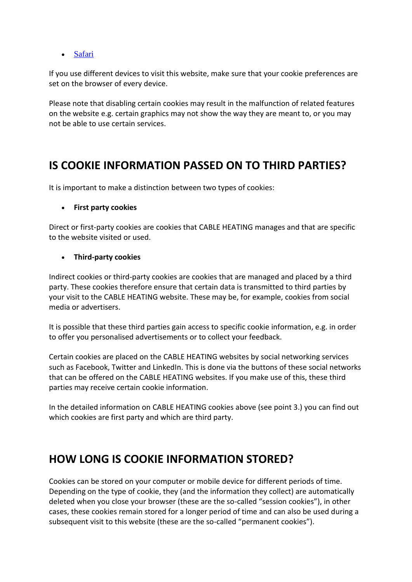• [Safari](https://support.apple.com/kb/index?q=cookies&src=globalnav_support&type=organic&page=search&locale=en_GB)

If you use different devices to visit this website, make sure that your cookie preferences are set on the browser of every device.

Please note that disabling certain cookies may result in the malfunction of related features on the website e.g. certain graphics may not show the way they are meant to, or you may not be able to use certain services.

# **IS COOKIE INFORMATION PASSED ON TO THIRD PARTIES?**

It is important to make a distinction between two types of cookies:

#### • **First party cookies**

Direct or first-party cookies are cookies that CABLE HEATING manages and that are specific to the website visited or used.

#### • **Third-party cookies**

Indirect cookies or third-party cookies are cookies that are managed and placed by a third party. These cookies therefore ensure that certain data is transmitted to third parties by your visit to the CABLE HEATING website. These may be, for example, cookies from social media or advertisers.

It is possible that these third parties gain access to specific cookie information, e.g. in order to offer you personalised advertisements or to collect your feedback.

Certain cookies are placed on the CABLE HEATING websites by social networking services such as Facebook, Twitter and LinkedIn. This is done via the buttons of these social networks that can be offered on the CABLE HEATING websites. If you make use of this, these third parties may receive certain cookie information.

In the detailed information on CABLE HEATING cookies above (see point 3.) you can find out which cookies are first party and which are third party.

# **HOW LONG IS COOKIE INFORMATION STORED?**

Cookies can be stored on your computer or mobile device for different periods of time. Depending on the type of cookie, they (and the information they collect) are automatically deleted when you close your browser (these are the so-called "session cookies"), in other cases, these cookies remain stored for a longer period of time and can also be used during a subsequent visit to this website (these are the so-called "permanent cookies").